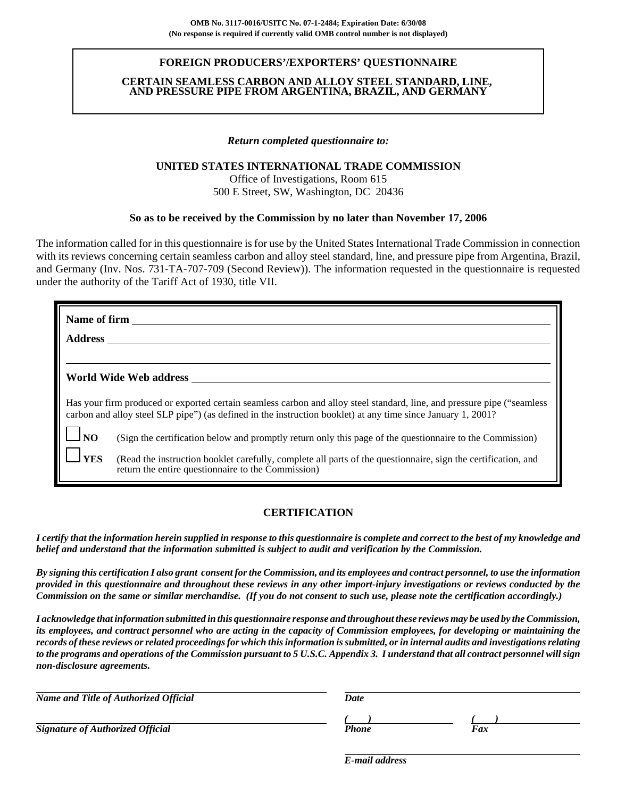## **FOREIGN PRODUCERS'/EXPORTERS' QUESTIONNAIRE**

### **CERTAIN SEAMLESS CARBON AND ALLOY STEEL STANDARD, LINE, AND PRESSURE PIPE FROM ARGENTINA, BRAZIL, AND GERMANY**

### *Return completed questionnaire to:*

## **UNITED STATES INTERNATIONAL TRADE COMMISSION**

Office of Investigations, Room 615 500 E Street, SW, Washington, DC 20436

### **So as to be received by the Commission by no later than November 17, 2006**

The information called for in this questionnaire is for use by the United States International Trade Commission in connection with its reviews concerning certain seamless carbon and alloy steel standard, line, and pressure pipe from Argentina, Brazil, and Germany (Inv. Nos. 731-TA-707-709 (Second Review)). The information requested in the questionnaire is requested under the authority of the Tariff Act of 1930, title VII.

| Name of firm       |                                                                                                                                                                                                                                           |
|--------------------|-------------------------------------------------------------------------------------------------------------------------------------------------------------------------------------------------------------------------------------------|
| <b>Address</b>     |                                                                                                                                                                                                                                           |
|                    |                                                                                                                                                                                                                                           |
|                    | World Wide Web address                                                                                                                                                                                                                    |
|                    | Has your firm produced or exported certain seamless carbon and alloy steel standard, line, and pressure pipe ("seamless")<br>carbon and alloy steel SLP pipe") (as defined in the instruction booklet) at any time since January 1, 2001? |
| $\Box_{\text{NO}}$ | (Sign the certification below and promptly return only this page of the questionnaire to the Commission)                                                                                                                                  |
| <b>SVES</b>        | (Read the instruction booklet carefully, complete all parts of the questionnaire, sign the certification, and<br>return the entire questionnaire to the Commission)                                                                       |

## **CERTIFICATION**

*I certify that the information herein supplied in response to this questionnaire is complete and correct to the best of my knowledge and belief and understand that the information submitted is subject to audit and verification by the Commission.*

*By signing this certification I also grant consent for the Commission, and its employees and contract personnel, to use the information provided in this questionnaire and throughout these reviews in any other import-injury investigations or reviews conducted by the Commission on the same or similar merchandise. (If you do not consent to such use, please note the certification accordingly.)*

*I acknowledge that information submitted in this questionnaire response and throughout these reviews may be used by the Commission, its employees, and contract personnel who are acting in the capacity of Commission employees, for developing or maintaining the records of these reviews or related proceedings for which this information is submitted, or in internal audits and investigations relating to the programs and operations of the Commission pursuant to 5 U.S.C. Appendix 3. I understand that all contract personnel will sign non-disclosure agreements.*

| Name and Title of Authorized Official   | Date  |     |  |  |  |
|-----------------------------------------|-------|-----|--|--|--|
|                                         |       |     |  |  |  |
| <b>Signature of Authorized Official</b> | Phone | Fax |  |  |  |

*E-mail address*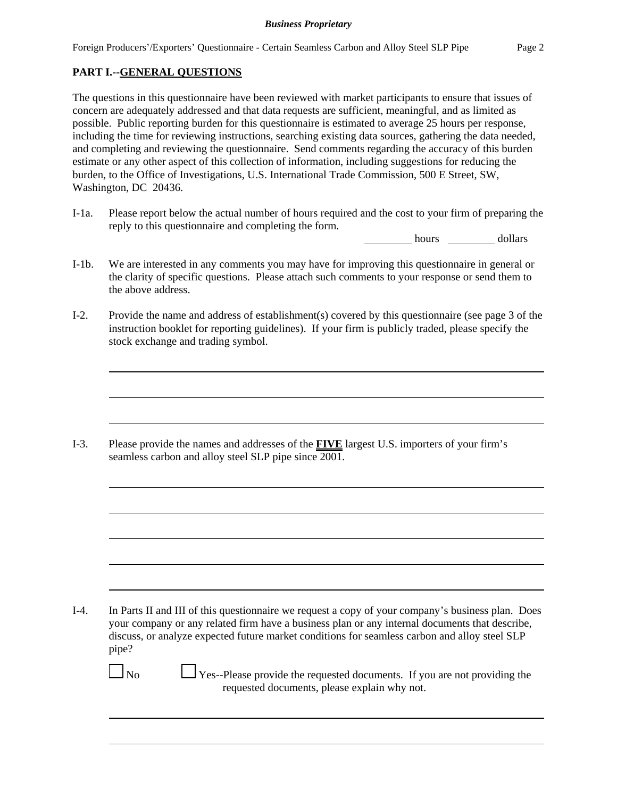# **PART I.--GENERAL QUESTIONS**

The questions in this questionnaire have been reviewed with market participants to ensure that issues of concern are adequately addressed and that data requests are sufficient, meaningful, and as limited as possible. Public reporting burden for this questionnaire is estimated to average 25 hours per response, including the time for reviewing instructions, searching existing data sources, gathering the data needed, and completing and reviewing the questionnaire. Send comments regarding the accuracy of this burden estimate or any other aspect of this collection of information, including suggestions for reducing the burden, to the Office of Investigations, U.S. International Trade Commission, 500 E Street, SW, Washington, DC 20436.

I-1a. Please report below the actual number of hours required and the cost to your firm of preparing the reply to this questionnaire and completing the form.

hours dollars

- I-1b. We are interested in any comments you may have for improving this questionnaire in general or the clarity of specific questions. Please attach such comments to your response or send them to the above address.
- I-2. Provide the name and address of establishment(s) covered by this questionnaire (see page 3 of the instruction booklet for reporting guidelines). If your firm is publicly traded, please specify the stock exchange and trading symbol.

I-3. Please provide the names and addresses of the **FIVE** largest U.S. importers of your firm's seamless carbon and alloy steel SLP pipe since 2001.

I-4. In Parts II and III of this questionnaire we request a copy of your company's business plan. Does your company or any related firm have a business plan or any internal documents that describe, discuss, or analyze expected future market conditions for seamless carbon and alloy steel SLP pipe?

 $\Box$  No  $\Box$  Yes--Please provide the requested documents. If you are not providing the requested documents, please explain why not.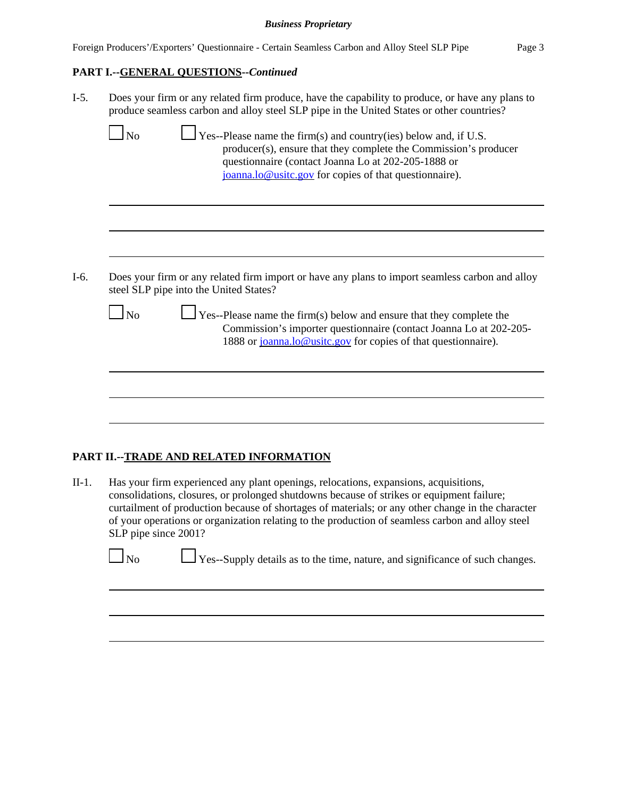|  |  |  | Foreign Producers'/Exporters' Questionnaire - Certain Seamless Carbon and Alloy Steel SLP Pipe | Page 3 |
|--|--|--|------------------------------------------------------------------------------------------------|--------|
|--|--|--|------------------------------------------------------------------------------------------------|--------|

# **PART I.--GENERAL QUESTIONS--***Continued*

I-5. Does your firm or any related firm produce, have the capability to produce, or have any plans to produce seamless carbon and alloy steel SLP pipe in the United States or other countries?

| $\Gamma$ Yes--Please name the firm(s) and country(ies) below and, if U.S.<br>producer(s), ensure that they complete the Commission's producer<br>questionnaire (contact Joanna Lo at 202-205-1888 or<br>joanna.lo@usitc.gov for copies of that questionnaire).                                                                                                                                                                                                                                                                                                                                |
|-----------------------------------------------------------------------------------------------------------------------------------------------------------------------------------------------------------------------------------------------------------------------------------------------------------------------------------------------------------------------------------------------------------------------------------------------------------------------------------------------------------------------------------------------------------------------------------------------|
|                                                                                                                                                                                                                                                                                                                                                                                                                                                                                                                                                                                               |
|                                                                                                                                                                                                                                                                                                                                                                                                                                                                                                                                                                                               |
| Does your firm or any related firm import or have any plans to import seamless carbon and alloy<br>$\blacksquare$ $\blacksquare$ $\blacksquare$ $\blacksquare$ $\blacksquare$ $\blacksquare$ $\blacksquare$ $\blacksquare$ $\blacksquare$ $\blacksquare$ $\blacksquare$ $\blacksquare$ $\blacksquare$ $\blacksquare$ $\blacksquare$ $\blacksquare$ $\blacksquare$ $\blacksquare$ $\blacksquare$ $\blacksquare$ $\blacksquare$ $\blacksquare$ $\blacksquare$ $\blacksquare$ $\blacksquare$ $\blacksquare$ $\blacksquare$ $\blacksquare$ $\blacksquare$ $\blacksquare$ $\blacksquare$ $\blacks$ |

I-6. Does your firm or any related firm import or have any plans to import seamless carbon and alloy steel SLP pipe into the United States?

| $\Box$ No | $\Box$ Yes--Please name the firm(s) below and ensure that they complete the |
|-----------|-----------------------------------------------------------------------------|
|           | Commission's importer questionnaire (contact Joanna Lo at 202-205-          |
|           | 1888 or joanna.lo@usitc.gov for copies of that questionnaire).              |

# **PART II.--TRADE AND RELATED INFORMATION**

II-1. Has your firm experienced any plant openings, relocations, expansions, acquisitions, consolidations, closures, or prolonged shutdowns because of strikes or equipment failure; curtailment of production because of shortages of materials; or any other change in the character of your operations or organization relating to the production of seamless carbon and alloy steel SLP pipe since 2001?

|  | $\Box_{\text{No}}$ |  |  |  |  | $\Box$ Yes--Supply details as to the time, nature, and significance of such changes. |  |  |
|--|--------------------|--|--|--|--|--------------------------------------------------------------------------------------|--|--|
|  |                    |  |  |  |  |                                                                                      |  |  |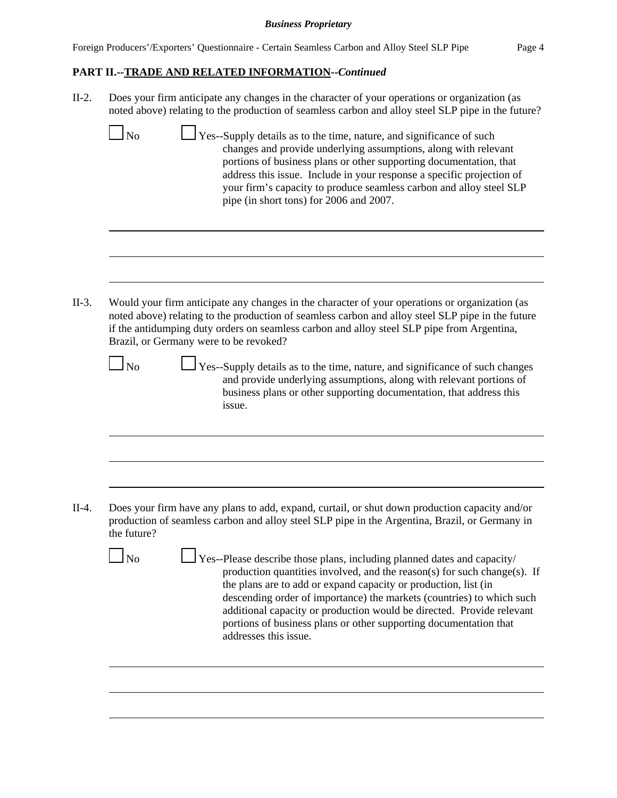# **PART II.--TRADE AND RELATED INFORMATION--***Continued*

II-2. Does your firm anticipate any changes in the character of your operations or organization (as noted above) relating to the production of seamless carbon and alloy steel SLP pipe in the future?

 $\Box$  No  $\Box$  Yes--Supply details as to the time, nature, and significance of such changes and provide underlying assumptions, along with relevant portions of business plans or other supporting documentation, that address this issue. Include in your response a specific projection of your firm's capacity to produce seamless carbon and alloy steel SLP pipe (in short tons) for 2006 and 2007.

II-3. Would your firm anticipate any changes in the character of your operations or organization (as noted above) relating to the production of seamless carbon and alloy steel SLP pipe in the future if the antidumping duty orders on seamless carbon and alloy steel SLP pipe from Argentina, Brazil, or Germany were to be revoked?

No  $\Box$  Yes--Supply details as to the time, nature, and significance of such changes and provide underlying assumptions, along with relevant portions of business plans or other supporting documentation, that address this issue.

II-4. Does your firm have any plans to add, expand, curtail, or shut down production capacity and/or production of seamless carbon and alloy steel SLP pipe in the Argentina, Brazil, or Germany in the future?

 $\Box$  Yes--Please describe those plans, including planned dates and capacity/ production quantities involved, and the reason(s) for such change(s). If the plans are to add or expand capacity or production, list (in descending order of importance) the markets (countries) to which such additional capacity or production would be directed. Provide relevant portions of business plans or other supporting documentation that addresses this issue.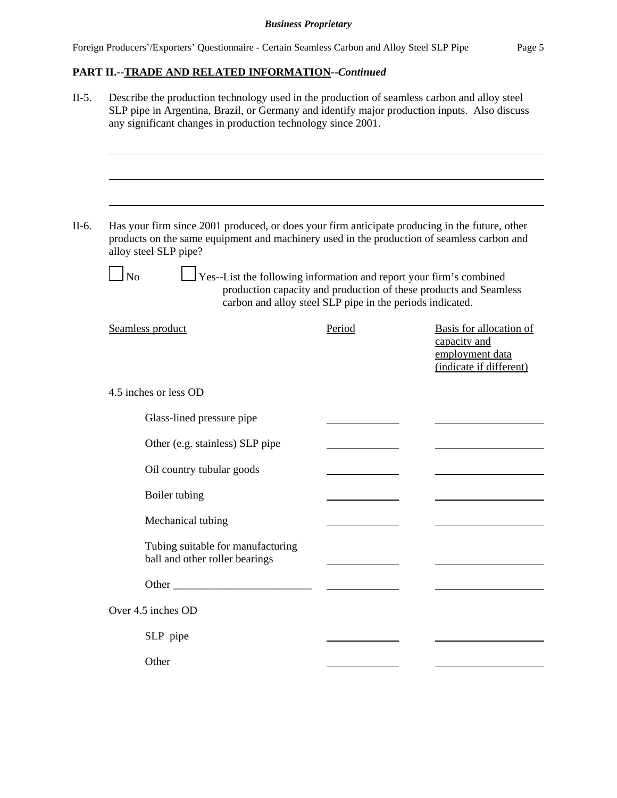# **PART II.--TRADE AND RELATED INFORMATION--***Continued*

| Describe the production technology used in the production of seamless carbon and alloy steel<br>SLP pipe in Argentina, Brazil, or Germany and identify major production inputs. Also discuss<br>any significant changes in production technology since 2001. |                                                           |                                                                                       |
|--------------------------------------------------------------------------------------------------------------------------------------------------------------------------------------------------------------------------------------------------------------|-----------------------------------------------------------|---------------------------------------------------------------------------------------|
|                                                                                                                                                                                                                                                              |                                                           |                                                                                       |
| Has your firm since 2001 produced, or does your firm anticipate producing in the future, other<br>products on the same equipment and machinery used in the production of seamless carbon and<br>alloy steel SLP pipe?                                        |                                                           |                                                                                       |
| $\Box$ Yes--List the following information and report your firm's combined<br>$\overline{\rm No}$                                                                                                                                                            | carbon and alloy steel SLP pipe in the periods indicated. | production capacity and production of these products and Seamless                     |
| Seamless product                                                                                                                                                                                                                                             | Period                                                    | Basis for allocation of<br>capacity and<br>employment data<br>(indicate if different) |
| 4.5 inches or less OD                                                                                                                                                                                                                                        |                                                           |                                                                                       |
| Glass-lined pressure pipe                                                                                                                                                                                                                                    |                                                           |                                                                                       |
| Other (e.g. stainless) SLP pipe                                                                                                                                                                                                                              |                                                           |                                                                                       |
| Oil country tubular goods                                                                                                                                                                                                                                    |                                                           |                                                                                       |
| Boiler tubing                                                                                                                                                                                                                                                |                                                           |                                                                                       |
| Mechanical tubing                                                                                                                                                                                                                                            |                                                           |                                                                                       |
| Tubing suitable for manufacturing<br>ball and other roller bearings                                                                                                                                                                                          |                                                           |                                                                                       |
|                                                                                                                                                                                                                                                              |                                                           |                                                                                       |
| Over 4.5 inches OD                                                                                                                                                                                                                                           |                                                           |                                                                                       |
| SLP pipe                                                                                                                                                                                                                                                     |                                                           |                                                                                       |
|                                                                                                                                                                                                                                                              |                                                           |                                                                                       |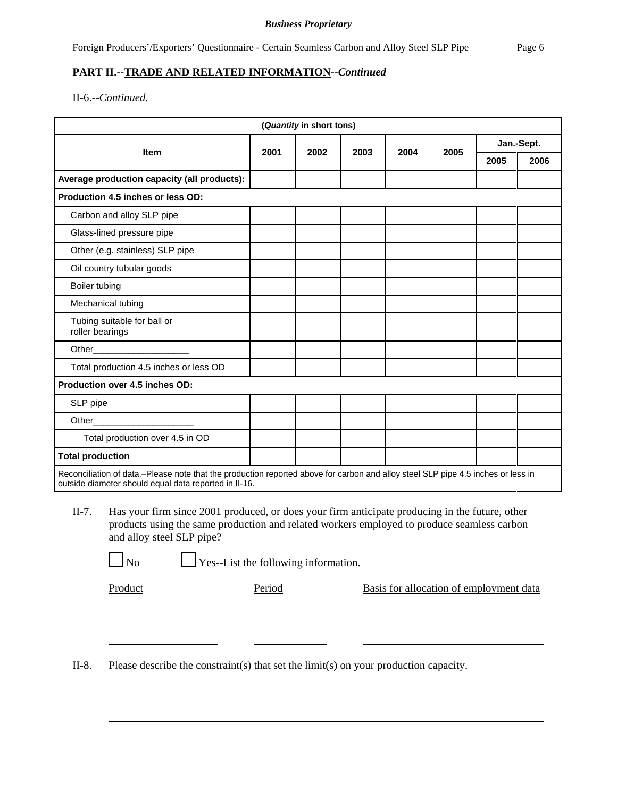# **PART II.--TRADE AND RELATED INFORMATION--***Continued*

II-6.--*Continued.*

| (Quantity in short tons)                                                                                                                                                                  |      |      |      |      |      |            |      |
|-------------------------------------------------------------------------------------------------------------------------------------------------------------------------------------------|------|------|------|------|------|------------|------|
| <b>Item</b>                                                                                                                                                                               | 2001 | 2002 | 2003 | 2004 | 2005 | Jan.-Sept. |      |
|                                                                                                                                                                                           |      |      |      |      |      | 2005       | 2006 |
| Average production capacity (all products):                                                                                                                                               |      |      |      |      |      |            |      |
| Production 4.5 inches or less OD:                                                                                                                                                         |      |      |      |      |      |            |      |
| Carbon and alloy SLP pipe                                                                                                                                                                 |      |      |      |      |      |            |      |
| Glass-lined pressure pipe                                                                                                                                                                 |      |      |      |      |      |            |      |
| Other (e.g. stainless) SLP pipe                                                                                                                                                           |      |      |      |      |      |            |      |
| Oil country tubular goods                                                                                                                                                                 |      |      |      |      |      |            |      |
| Boiler tubing                                                                                                                                                                             |      |      |      |      |      |            |      |
| Mechanical tubing                                                                                                                                                                         |      |      |      |      |      |            |      |
| Tubing suitable for ball or<br>roller bearings                                                                                                                                            |      |      |      |      |      |            |      |
| Other                                                                                                                                                                                     |      |      |      |      |      |            |      |
| Total production 4.5 inches or less OD                                                                                                                                                    |      |      |      |      |      |            |      |
| Production over 4.5 inches OD:                                                                                                                                                            |      |      |      |      |      |            |      |
| SLP pipe                                                                                                                                                                                  |      |      |      |      |      |            |      |
| Other                                                                                                                                                                                     |      |      |      |      |      |            |      |
| Total production over 4.5 in OD                                                                                                                                                           |      |      |      |      |      |            |      |
| <b>Total production</b>                                                                                                                                                                   |      |      |      |      |      |            |      |
| Reconciliation of data.–Please note that the production reported above for carbon and alloy steel SLP pipe 4.5 inches or less in<br>outside diameter should equal data reported in II-16. |      |      |      |      |      |            |      |

II-7. Has your firm since 2001 produced, or does your firm anticipate producing in the future, other products using the same production and related workers employed to produce seamless carbon and alloy steel SLP pipe?

 $\perp$  Yes--List the following information.

Product Period Period Basis for allocation of employment data

II-8. Please describe the constraint(s) that set the limit(s) on your production capacity.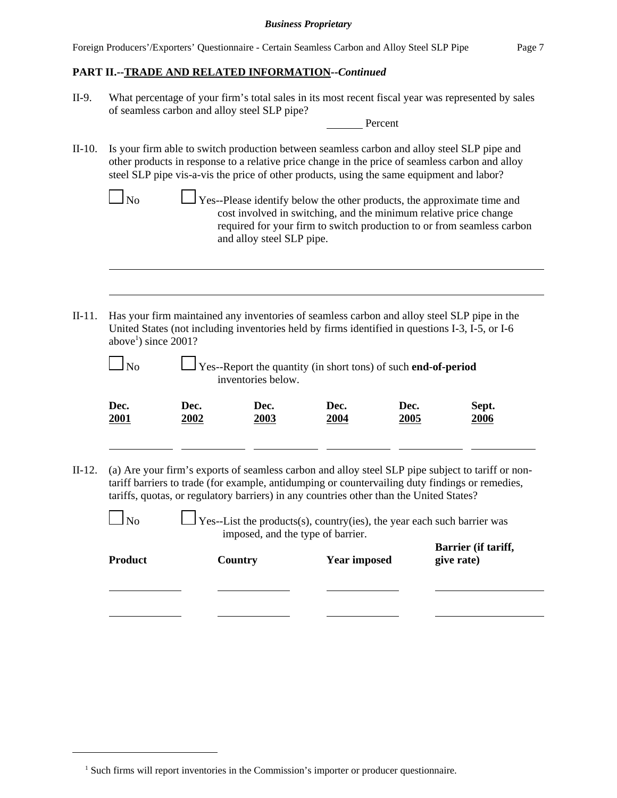Foreign Producers'/Exporters' Questionnaire - Certain Seamless Carbon and Alloy Steel SLP Pipe Page 7

## **PART II.--TRADE AND RELATED INFORMATION--***Continued*

II-9. What percentage of your firm's total sales in its most recent fiscal year was represented by sales of seamless carbon and alloy steel SLP pipe?

Percent

II-10. Is your firm able to switch production between seamless carbon and alloy steel SLP pipe and other products in response to a relative price change in the price of seamless carbon and alloy steel SLP pipe vis-a-vis the price of other products, using the same equipment and labor?

 $\perp$  Yes--Please identify below the other products, the approximate time and cost involved in switching, and the minimum relative price change required for your firm to switch production to or from seamless carbon and alloy steel SLP pipe.

II-11. Has your firm maintained any inventories of seamless carbon and alloy steel SLP pipe in the United States (not including inventories held by firms identified in questions I-3, I-5, or I-6 above<sup>1</sup>) since  $2001$ ?

Yes--Report the quantity (in short tons) of such **end-of-period** inventories below.

| Dec.        | Dec. | Dec.        | Dec. | Dec. | Sept.       |
|-------------|------|-------------|------|------|-------------|
| <b>2001</b> | 2002 | <u>2003</u> | 2004 | 2005 | <u>2006</u> |
|             |      |             |      |      |             |

II-12. (a) Are your firm's exports of seamless carbon and alloy steel SLP pipe subject to tariff or nontariff barriers to trade (for example, antidumping or countervailing duty findings or remedies, tariffs, quotas, or regulatory barriers) in any countries other than the United States?

| Nο |  |  |
|----|--|--|
|    |  |  |

es--List the products(s), country(ies), the year each such barrier was imposed, and the type of barrier. **Barrier (if tariff,**

| Product | Country | <b>Year imposed</b> | Darrich (in taring<br>give rate) |
|---------|---------|---------------------|----------------------------------|
|         |         |                     |                                  |

<sup>&</sup>lt;sup>1</sup> Such firms will report inventories in the Commission's importer or producer questionnaire.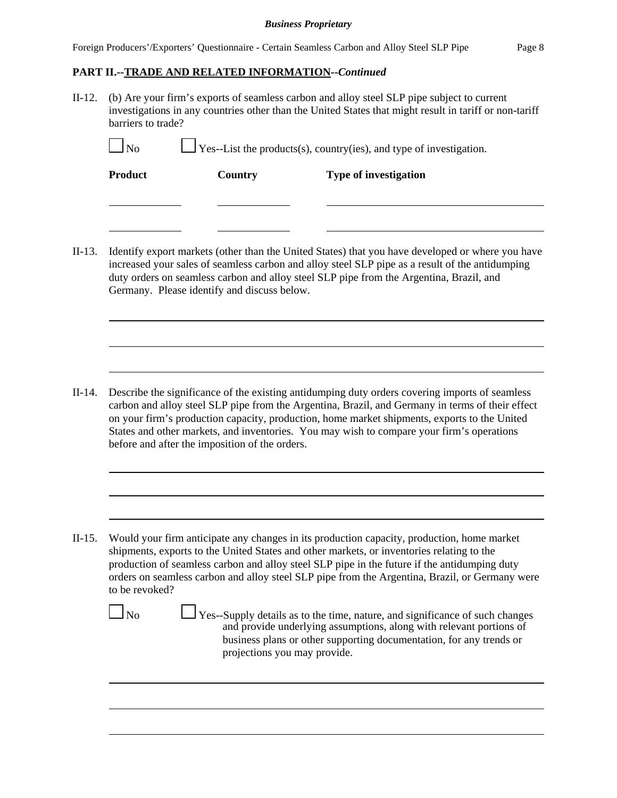Foreign Producers'/Exporters' Questionnaire - Certain Seamless Carbon and Alloy Steel SLP Pipe Page 8

# **PART II.--TRADE AND RELATED INFORMATION--***Continued*

II-12. (b) Are your firm's exports of seamless carbon and alloy steel SLP pipe subject to current investigations in any countries other than the United States that might result in tariff or non-tariff barriers to trade?

| $\Box$ No | $\Box$ Yes--List the products(s), country(ies), and type of investigation. |                              |  |
|-----------|----------------------------------------------------------------------------|------------------------------|--|
| Product   | Country                                                                    | <b>Type of investigation</b> |  |

II-13. Identify export markets (other than the United States) that you have developed or where you have increased your sales of seamless carbon and alloy steel SLP pipe as a result of the antidumping duty orders on seamless carbon and alloy steel SLP pipe from the Argentina, Brazil, and Germany. Please identify and discuss below.

II-14. Describe the significance of the existing antidumping duty orders covering imports of seamless carbon and alloy steel SLP pipe from the Argentina, Brazil, and Germany in terms of their effect on your firm's production capacity, production, home market shipments, exports to the United States and other markets, and inventories. You may wish to compare your firm's operations before and after the imposition of the orders.

II-15. Would your firm anticipate any changes in its production capacity, production, home market shipments, exports to the United States and other markets, or inventories relating to the production of seamless carbon and alloy steel SLP pipe in the future if the antidumping duty orders on seamless carbon and alloy steel SLP pipe from the Argentina, Brazil, or Germany were to be revoked?

 $\Box$  No  $\Box$  Yes--Supply details as to the time, nature, and significance of such changes and provide underlying assumptions, along with relevant portions of business plans or other supporting documentation, for any trends or projections you may provide.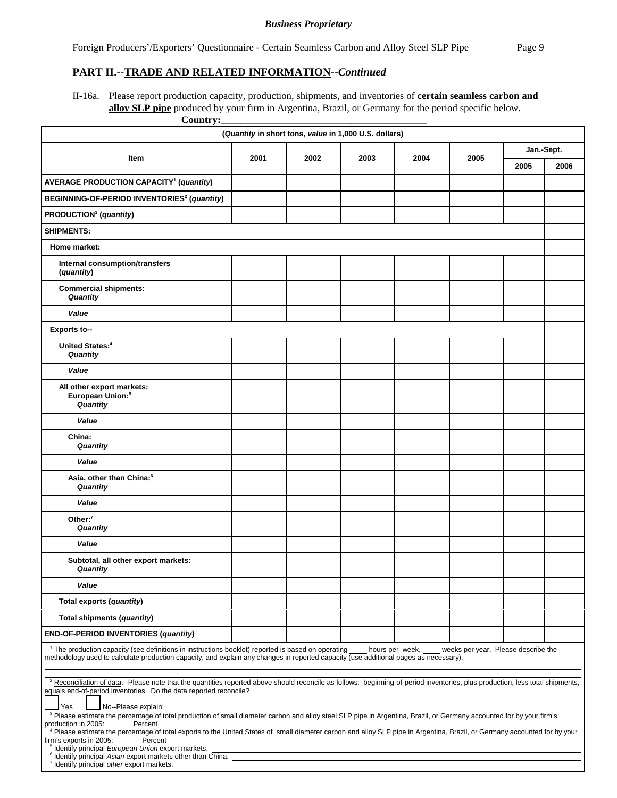### **PART II.--TRADE AND RELATED INFORMATION--***Continued*

II-16a. Please report production capacity, production, shipments, and inventories of **certain seamless carbon and alloy SLP pipe** produced by your firm in Argentina, Brazil, or Germany for the period specific below.

| Country:                                                                                                                                                                                                                                                                                                                                                                                                                             |      |      |                                                       |              |  |      |            |  |
|--------------------------------------------------------------------------------------------------------------------------------------------------------------------------------------------------------------------------------------------------------------------------------------------------------------------------------------------------------------------------------------------------------------------------------------|------|------|-------------------------------------------------------|--------------|--|------|------------|--|
|                                                                                                                                                                                                                                                                                                                                                                                                                                      |      |      | (Quantity in short tons, value in 1,000 U.S. dollars) |              |  |      |            |  |
| Item                                                                                                                                                                                                                                                                                                                                                                                                                                 | 2001 | 2002 | 2003                                                  | 2004<br>2005 |  |      | Jan.-Sept. |  |
|                                                                                                                                                                                                                                                                                                                                                                                                                                      |      |      |                                                       |              |  | 2005 | 2006       |  |
| <b>AVERAGE PRODUCTION CAPACITY<sup>1</sup> (quantity)</b>                                                                                                                                                                                                                                                                                                                                                                            |      |      |                                                       |              |  |      |            |  |
| BEGINNING-OF-PERIOD INVENTORIES <sup>2</sup> (quantity)                                                                                                                                                                                                                                                                                                                                                                              |      |      |                                                       |              |  |      |            |  |
| PRODUCTION <sup>3</sup> (quantity)                                                                                                                                                                                                                                                                                                                                                                                                   |      |      |                                                       |              |  |      |            |  |
| <b>SHIPMENTS:</b>                                                                                                                                                                                                                                                                                                                                                                                                                    |      |      |                                                       |              |  |      |            |  |
| Home market:                                                                                                                                                                                                                                                                                                                                                                                                                         |      |      |                                                       |              |  |      |            |  |
| Internal consumption/transfers<br>(quantity)                                                                                                                                                                                                                                                                                                                                                                                         |      |      |                                                       |              |  |      |            |  |
| <b>Commercial shipments:</b><br>Quantity                                                                                                                                                                                                                                                                                                                                                                                             |      |      |                                                       |              |  |      |            |  |
| Value                                                                                                                                                                                                                                                                                                                                                                                                                                |      |      |                                                       |              |  |      |            |  |
| <b>Exports to--</b>                                                                                                                                                                                                                                                                                                                                                                                                                  |      |      |                                                       |              |  |      |            |  |
| United States: <sup>4</sup><br>Quantity                                                                                                                                                                                                                                                                                                                                                                                              |      |      |                                                       |              |  |      |            |  |
| Value                                                                                                                                                                                                                                                                                                                                                                                                                                |      |      |                                                       |              |  |      |            |  |
| All other export markets:<br>European Union: <sup>5</sup><br>Quantity                                                                                                                                                                                                                                                                                                                                                                |      |      |                                                       |              |  |      |            |  |
| Value                                                                                                                                                                                                                                                                                                                                                                                                                                |      |      |                                                       |              |  |      |            |  |
| China:<br>Quantity                                                                                                                                                                                                                                                                                                                                                                                                                   |      |      |                                                       |              |  |      |            |  |
| Value                                                                                                                                                                                                                                                                                                                                                                                                                                |      |      |                                                       |              |  |      |            |  |
| Asia, other than China: <sup>6</sup><br>Quantity                                                                                                                                                                                                                                                                                                                                                                                     |      |      |                                                       |              |  |      |            |  |
| Value                                                                                                                                                                                                                                                                                                                                                                                                                                |      |      |                                                       |              |  |      |            |  |
| Other: $7$<br><b>Quantity</b>                                                                                                                                                                                                                                                                                                                                                                                                        |      |      |                                                       |              |  |      |            |  |
| Value                                                                                                                                                                                                                                                                                                                                                                                                                                |      |      |                                                       |              |  |      |            |  |
| Subtotal, all other export markets:<br>Quantity                                                                                                                                                                                                                                                                                                                                                                                      |      |      |                                                       |              |  |      |            |  |
| Value                                                                                                                                                                                                                                                                                                                                                                                                                                |      |      |                                                       |              |  |      |            |  |
| Total exports (quantity)                                                                                                                                                                                                                                                                                                                                                                                                             |      |      |                                                       |              |  |      |            |  |
| Total shipments (quantity)                                                                                                                                                                                                                                                                                                                                                                                                           |      |      |                                                       |              |  |      |            |  |
| END-OF-PERIOD INVENTORIES (quantity)                                                                                                                                                                                                                                                                                                                                                                                                 |      |      |                                                       |              |  |      |            |  |
| <sup>1</sup> The production capacity (see definitions in instructions booklet) reported is based on operating<br>hours per week,<br>weeks per year. Please describe the<br>methodology used to calculate production capacity, and explain any changes in reported capacity (use additional pages as necessary).                                                                                                                      |      |      |                                                       |              |  |      |            |  |
| <sup>2</sup> Reconciliation of data.--Please note that the quantities reported above should reconcile as follows: beginning-of-period inventories, plus production, less total shipments,<br>equals end-of-period inventories. Do the data reported reconcile?<br>No--Please explain:<br>Yes                                                                                                                                         |      |      |                                                       |              |  |      |            |  |
| <sup>3</sup> Please estimate the percentage of total production of small diameter carbon and alloy steel SLP pipe in Argentina, Brazil, or Germany accounted for by your firm's<br>production in 2005:<br>Percent<br>4 Please estimate the percentage of total exports to the United States of small diameter carbon and alloy SLP pipe in Argentina, Brazil, or Germany accounted for by your<br>firm's exports in 2005:<br>Percent |      |      |                                                       |              |  |      |            |  |
| <sup>5</sup> Identify principal European Union export markets.<br><sup>6</sup> Identify principal Asian export markets other than China.<br><sup>7</sup> Identify principal other export markets.                                                                                                                                                                                                                                    |      |      |                                                       |              |  |      |            |  |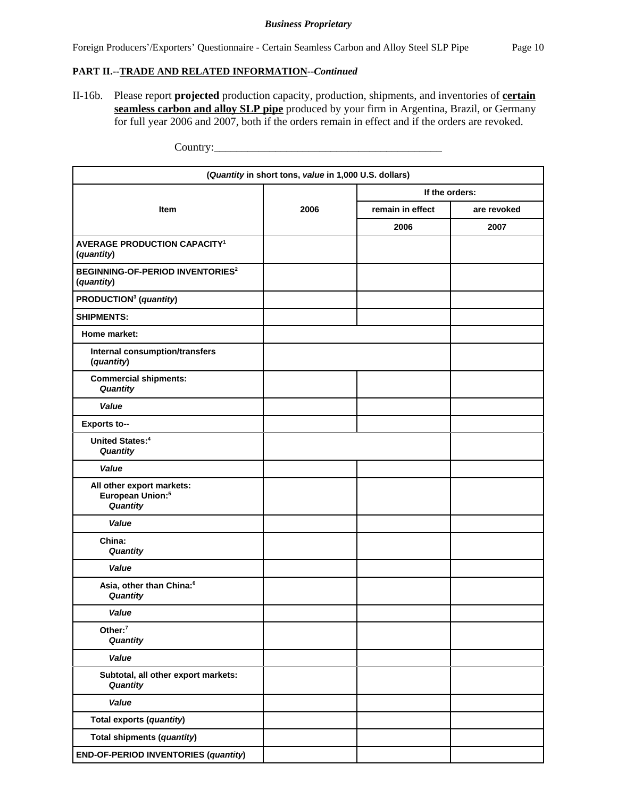## **PART II.--TRADE AND RELATED INFORMATION--***Continued*

II-16b. Please report **projected** production capacity, production, shipments, and inventories of **certain seamless carbon and alloy SLP pipe** produced by your firm in Argentina, Brazil, or Germany for full year 2006 and 2007, both if the orders remain in effect and if the orders are revoked.

|                                                                       | (Quantity in short tons, value in 1,000 U.S. dollars) |                  |             |
|-----------------------------------------------------------------------|-------------------------------------------------------|------------------|-------------|
|                                                                       |                                                       | If the orders:   |             |
| Item                                                                  | 2006                                                  | remain in effect | are revoked |
|                                                                       |                                                       | 2006             | 2007        |
| <b>AVERAGE PRODUCTION CAPACITY<sup>1</sup></b><br>(quantity)          |                                                       |                  |             |
| <b>BEGINNING-OF-PERIOD INVENTORIES<sup>2</sup></b><br>(quantity)      |                                                       |                  |             |
| PRODUCTION <sup>3</sup> (quantity)                                    |                                                       |                  |             |
| <b>SHIPMENTS:</b>                                                     |                                                       |                  |             |
| Home market:                                                          |                                                       |                  |             |
| Internal consumption/transfers<br>(quantity)                          |                                                       |                  |             |
| <b>Commercial shipments:</b><br>Quantity                              |                                                       |                  |             |
| Value                                                                 |                                                       |                  |             |
| <b>Exports to--</b>                                                   |                                                       |                  |             |
| <b>United States:4</b><br>Quantity                                    |                                                       |                  |             |
| Value                                                                 |                                                       |                  |             |
| All other export markets:<br>European Union: <sup>5</sup><br>Quantity |                                                       |                  |             |
| Value                                                                 |                                                       |                  |             |
| China:<br>Quantity                                                    |                                                       |                  |             |
| Value                                                                 |                                                       |                  |             |
| Asia, other than China:6<br><b>Quantity</b>                           |                                                       |                  |             |
| Value                                                                 |                                                       |                  |             |
| Other: <sup>7</sup><br>Quantity                                       |                                                       |                  |             |
| Value                                                                 |                                                       |                  |             |
| Subtotal, all other export markets:<br>Quantity                       |                                                       |                  |             |
| Value                                                                 |                                                       |                  |             |
| Total exports (quantity)                                              |                                                       |                  |             |
| <b>Total shipments (quantity)</b>                                     |                                                       |                  |             |
| END-OF-PERIOD INVENTORIES (quantity)                                  |                                                       |                  |             |

Country: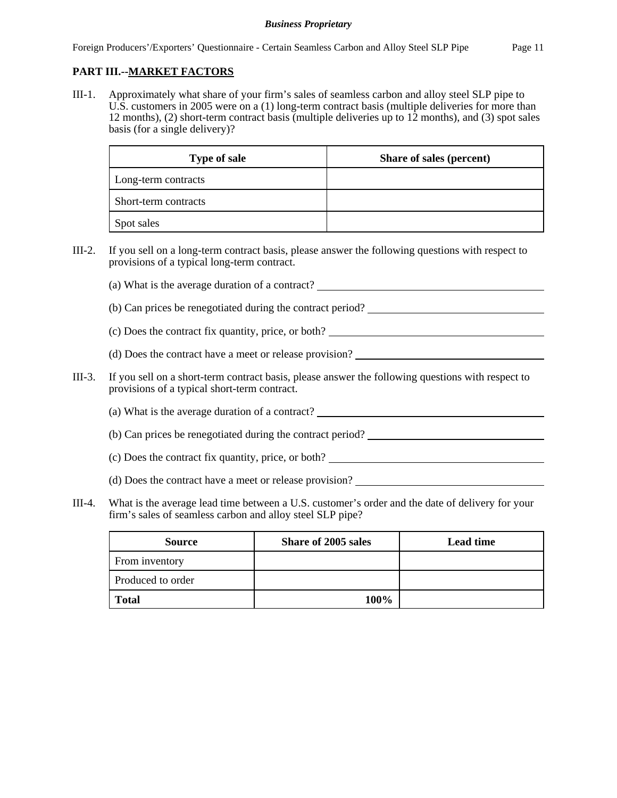# **PART III.--MARKET FACTORS**

III-1. Approximately what share of your firm's sales of seamless carbon and alloy steel SLP pipe to U.S. customers in 2005 were on a (1) long-term contract basis (multiple deliveries for more than 12 months), (2) short-term contract basis (multiple deliveries up to 12 months), and (3) spot sales basis (for a single delivery)?

| <b>Type of sale</b>  | Share of sales (percent) |
|----------------------|--------------------------|
| Long-term contracts  |                          |
| Short-term contracts |                          |
| Spot sales           |                          |

- III-2. If you sell on a long-term contract basis, please answer the following questions with respect to provisions of a typical long-term contract.
	- (a) What is the average duration of a contract?
	- (b) Can prices be renegotiated during the contract period?
	- (c) Does the contract fix quantity, price, or both?
	- (d) Does the contract have a meet or release provision?
- III-3. If you sell on a short-term contract basis, please answer the following questions with respect to provisions of a typical short-term contract.
	- (a) What is the average duration of a contract?
	- (b) Can prices be renegotiated during the contract period?
	- (c) Does the contract fix quantity, price, or both?
	- (d) Does the contract have a meet or release provision?
- III-4. What is the average lead time between a U.S. customer's order and the date of delivery for your firm's sales of seamless carbon and alloy steel SLP pipe?

| <b>Source</b>     | Share of 2005 sales | <b>Lead time</b> |
|-------------------|---------------------|------------------|
| From inventory    |                     |                  |
| Produced to order |                     |                  |
| <b>Total</b>      | $100\%$             |                  |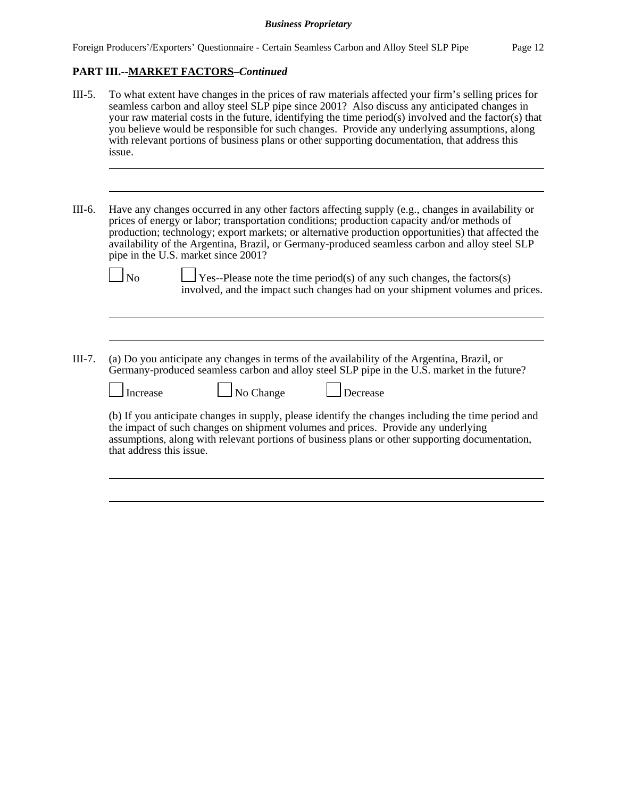## **PART III.--MARKET FACTORS–***Continued*

- III-5. To what extent have changes in the prices of raw materials affected your firm's selling prices for seamless carbon and alloy steel SLP pipe since 2001? Also discuss any anticipated changes in your raw material costs in the future, identifying the time period(s) involved and the factor(s) that you believe would be responsible for such changes. Provide any underlying assumptions, along with relevant portions of business plans or other supporting documentation, that address this issue.
- III-6. Have any changes occurred in any other factors affecting supply (e.g., changes in availability or prices of energy or labor; transportation conditions; production capacity and/or methods of production; technology; export markets; or alternative production opportunities) that affected the availability of the Argentina, Brazil, or Germany-produced seamless carbon and alloy steel SLP pipe in the U.S. market since 2001?

 $\Box$  No  $\Box$  Yes--Please note the time period(s) of any such changes, the factors(s) involved, and the impact such changes had on your shipment volumes and prices.

III-7. (a) Do you anticipate any changes in terms of the availability of the Argentina, Brazil, or Germany-produced seamless carbon and alloy steel SLP pipe in the U.S. market in the future?

| ⊥ Increase | $\Box$ No Change | $\Box$ Decrease |
|------------|------------------|-----------------|
|            |                  |                 |

(b) If you anticipate changes in supply, please identify the changes including the time period and the impact of such changes on shipment volumes and prices. Provide any underlying assumptions, along with relevant portions of business plans or other supporting documentation, that address this issue.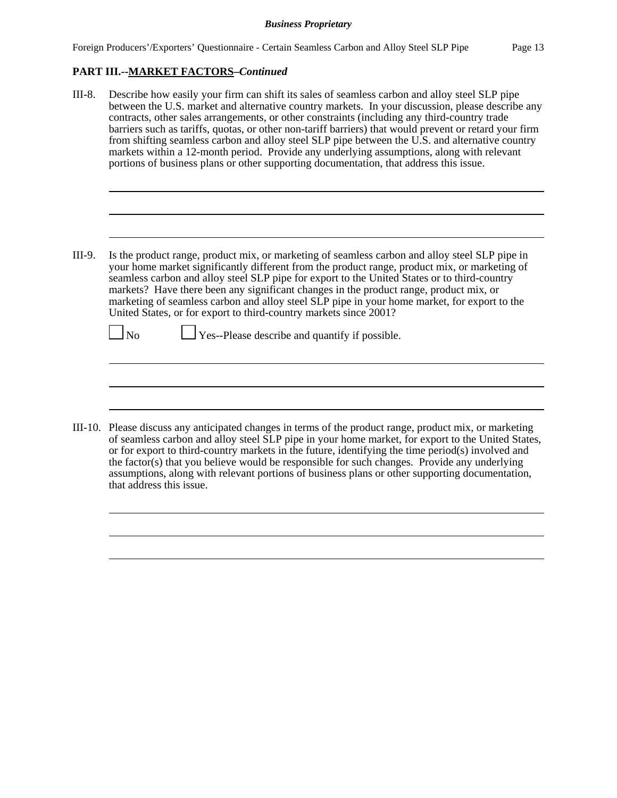## **PART III.--MARKET FACTORS–***Continued*

| III-8.  | Describe how easily your firm can shift its sales of seamless carbon and alloy steel SLP pipe<br>between the U.S. market and alternative country markets. In your discussion, please describe any<br>contracts, other sales arrangements, or other constraints (including any third-country trade<br>barriers such as tariffs, quotas, or other non-tariff barriers) that would prevent or retard your firm<br>from shifting seamless carbon and alloy steel SLP pipe between the U.S. and alternative country<br>markets within a 12-month period. Provide any underlying assumptions, along with relevant<br>portions of business plans or other supporting documentation, that address this issue. |
|---------|-------------------------------------------------------------------------------------------------------------------------------------------------------------------------------------------------------------------------------------------------------------------------------------------------------------------------------------------------------------------------------------------------------------------------------------------------------------------------------------------------------------------------------------------------------------------------------------------------------------------------------------------------------------------------------------------------------|
|         |                                                                                                                                                                                                                                                                                                                                                                                                                                                                                                                                                                                                                                                                                                       |
| III-9.  | Is the product range, product mix, or marketing of seamless carbon and alloy steel SLP pipe in<br>your home market significantly different from the product range, product mix, or marketing of<br>seamless carbon and alloy steel SLP pipe for export to the United States or to third-country<br>markets? Have there been any significant changes in the product range, product mix, or<br>marketing of seamless carbon and alloy steel SLP pipe in your home market, for export to the<br>United States, or for export to third-country markets since 2001?                                                                                                                                        |
|         | $\Box$ Yes--Please describe and quantify if possible.<br>$\Box$ No                                                                                                                                                                                                                                                                                                                                                                                                                                                                                                                                                                                                                                    |
|         |                                                                                                                                                                                                                                                                                                                                                                                                                                                                                                                                                                                                                                                                                                       |
| III_10— | Please discuss any anticipated changes in terms of the product range product mix or marketing                                                                                                                                                                                                                                                                                                                                                                                                                                                                                                                                                                                                         |

III-10. Please discuss any anticipated changes in terms of the product range, product mix, or marketing of seamless carbon and alloy steel SLP pipe in your home market, for export to the United States, or for export to third-country markets in the future, identifying the time period(s) involved and the factor(s) that you believe would be responsible for such changes. Provide any underlying assumptions, along with relevant portions of business plans or other supporting documentation, that address this issue.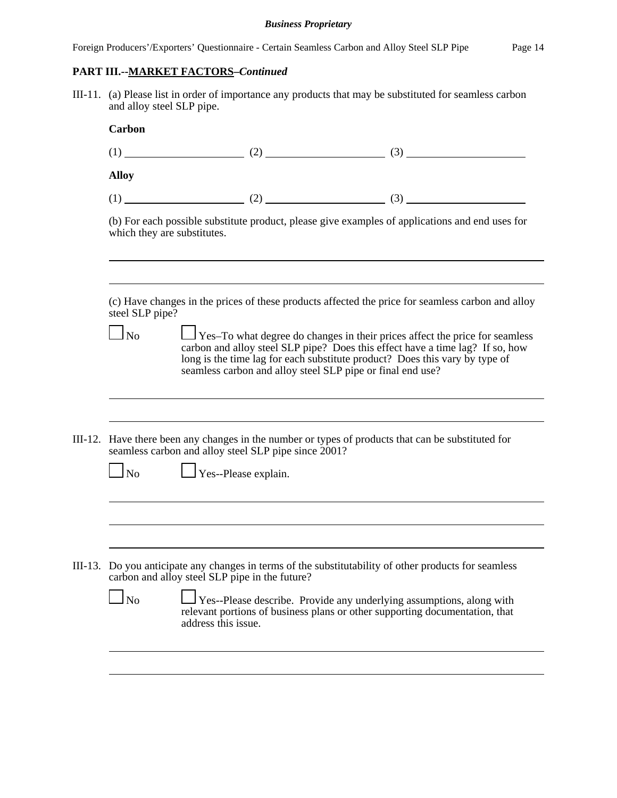Foreign Producers'/Exporters' Questionnaire - Certain Seamless Carbon and Alloy Steel SLP Pipe Page 14

# **PART III.--MARKET FACTORS–***Continued*

III-11. (a) Please list in order of importance any products that may be substituted for seamless carbon and alloy steel SLP pipe.

|         | Carbon                      |                                                            |                                                                                                                                                                                                                                                    |  |
|---------|-----------------------------|------------------------------------------------------------|----------------------------------------------------------------------------------------------------------------------------------------------------------------------------------------------------------------------------------------------------|--|
|         |                             |                                                            | $(1)$ (1) (2) (3) (3)                                                                                                                                                                                                                              |  |
|         | <b>Alloy</b>                |                                                            |                                                                                                                                                                                                                                                    |  |
|         |                             |                                                            |                                                                                                                                                                                                                                                    |  |
|         | which they are substitutes. |                                                            | (b) For each possible substitute product, please give examples of applications and end uses for                                                                                                                                                    |  |
|         |                             |                                                            | (c) Have changes in the prices of these products affected the price for seamless carbon and alloy                                                                                                                                                  |  |
|         | steel SLP pipe?             |                                                            |                                                                                                                                                                                                                                                    |  |
|         | $\Box$ No                   | seamless carbon and alloy steel SLP pipe or final end use? | $\Box$ Yes–To what degree do changes in their prices affect the price for seamless<br>carbon and alloy steel SLP pipe? Does this effect have a time lag? If so, how<br>long is the time lag for each substitute product? Does this vary by type of |  |
| III-12. |                             |                                                            | Have there been any changes in the number or types of products that can be substituted for                                                                                                                                                         |  |
|         |                             | seamless carbon and alloy steel SLP pipe since 2001?       |                                                                                                                                                                                                                                                    |  |
|         | $\Box$ No                   | $\Box$ Yes--Please explain.                                |                                                                                                                                                                                                                                                    |  |
|         |                             |                                                            |                                                                                                                                                                                                                                                    |  |
|         |                             |                                                            |                                                                                                                                                                                                                                                    |  |
|         |                             | carbon and alloy steel SLP pipe in the future?             | III-13. Do you anticipate any changes in terms of the substitutability of other products for seamless                                                                                                                                              |  |
|         | $\log$                      | address this issue.                                        | Yes--Please describe. Provide any underlying assumptions, along with<br>relevant portions of business plans or other supporting documentation, that                                                                                                |  |
|         |                             |                                                            |                                                                                                                                                                                                                                                    |  |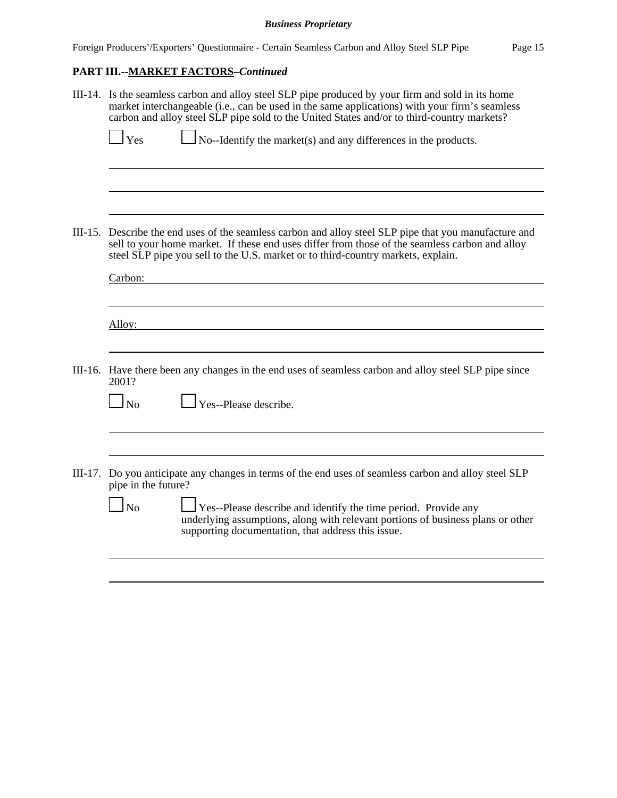# **PART III.--MARKET FACTORS–***Continued*

| III-14. Is the seamless carbon and alloy steel SLP pipe produced by your firm and sold in its home<br>market interchangeable (i.e., can be used in the same applications) with your firm's seamless<br>carbon and alloy steel SLP pipe sold to the United States and/or to third-country markets?<br>$\perp$ Yes<br>No--Identify the market(s) and any differences in the products. |
|-------------------------------------------------------------------------------------------------------------------------------------------------------------------------------------------------------------------------------------------------------------------------------------------------------------------------------------------------------------------------------------|
|                                                                                                                                                                                                                                                                                                                                                                                     |
| III-15. Describe the end uses of the seamless carbon and alloy steel SLP pipe that you manufacture and<br>sell to your home market. If these end uses differ from those of the seamless carbon and alloy<br>steel SLP pipe you sell to the U.S. market or to third-country markets, explain.<br>Carbon:                                                                             |
| Alloy:                                                                                                                                                                                                                                                                                                                                                                              |
| III-16. Have there been any changes in the end uses of seamless carbon and alloy steel SLP pipe since<br>2001?<br>Yes--Please describe.<br>$\Box$ No                                                                                                                                                                                                                                |
| III-17. Do you anticipate any changes in terms of the end uses of seamless carbon and alloy steel SLP<br>pipe in the future?<br>$\ln$<br><b>Yes--Please describe and identify the time period. Provide any</b><br>underlying assumptions, along with relevant portions of business plans or other                                                                                   |
| supporting documentation, that address this issue.                                                                                                                                                                                                                                                                                                                                  |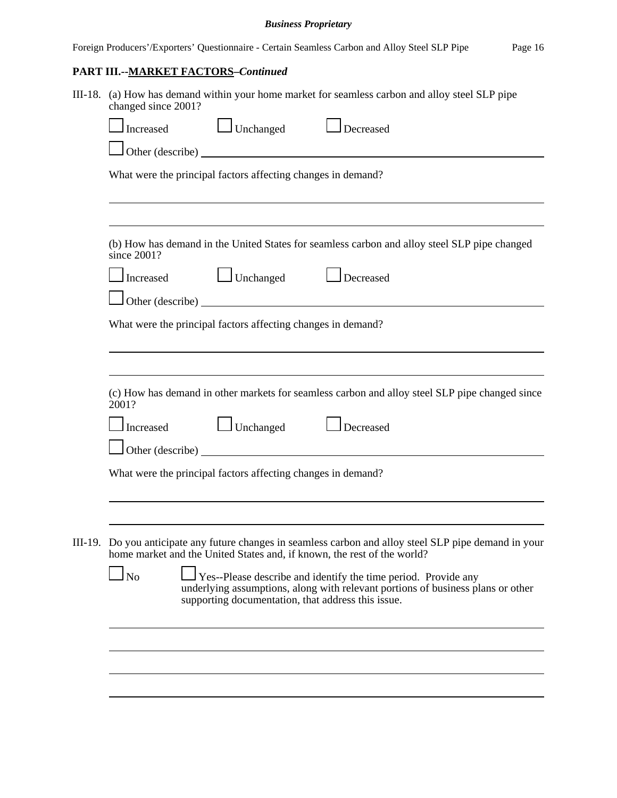|  | Foreign Producers'/Exporters' Questionnaire - Certain Seamless Carbon and Alloy Steel SLP Pipe                                                                                                                       | Page 16 |  |
|--|----------------------------------------------------------------------------------------------------------------------------------------------------------------------------------------------------------------------|---------|--|
|  | PART III.--MARKET FACTORS-Continued                                                                                                                                                                                  |         |  |
|  | III-18. (a) How has demand within your home market for seamless carbon and alloy steel SLP pipe<br>changed since 2001?                                                                                               |         |  |
|  | $\Box$ Unchanged<br>Increased<br>Decreased                                                                                                                                                                           |         |  |
|  | Other (describe)                                                                                                                                                                                                     |         |  |
|  | What were the principal factors affecting changes in demand?                                                                                                                                                         |         |  |
|  |                                                                                                                                                                                                                      |         |  |
|  | (b) How has demand in the United States for seamless carbon and alloy steel SLP pipe changed<br>since 2001?                                                                                                          |         |  |
|  | Unchanged <u>Decreased</u><br>Increased                                                                                                                                                                              |         |  |
|  | $\Box$ Other (describe) $\Box$                                                                                                                                                                                       |         |  |
|  | What were the principal factors affecting changes in demand?                                                                                                                                                         |         |  |
|  |                                                                                                                                                                                                                      |         |  |
|  | (c) How has demand in other markets for seamless carbon and alloy steel SLP pipe changed since<br>2001?                                                                                                              |         |  |
|  | Unchanged <u>Lecreased</u><br>Increased                                                                                                                                                                              |         |  |
|  | Other (describe)<br>What were the principal factors affecting changes in demand?                                                                                                                                     |         |  |
|  |                                                                                                                                                                                                                      |         |  |
|  | III-19. Do you anticipate any future changes in seamless carbon and alloy steel SLP pipe demand in your<br>home market and the United States and, if known, the rest of the world?                                   |         |  |
|  | <b>No</b><br>Yes--Please describe and identify the time period. Provide any<br>underlying assumptions, along with relevant portions of business plans or other<br>supporting documentation, that address this issue. |         |  |
|  |                                                                                                                                                                                                                      |         |  |
|  |                                                                                                                                                                                                                      |         |  |
|  |                                                                                                                                                                                                                      |         |  |